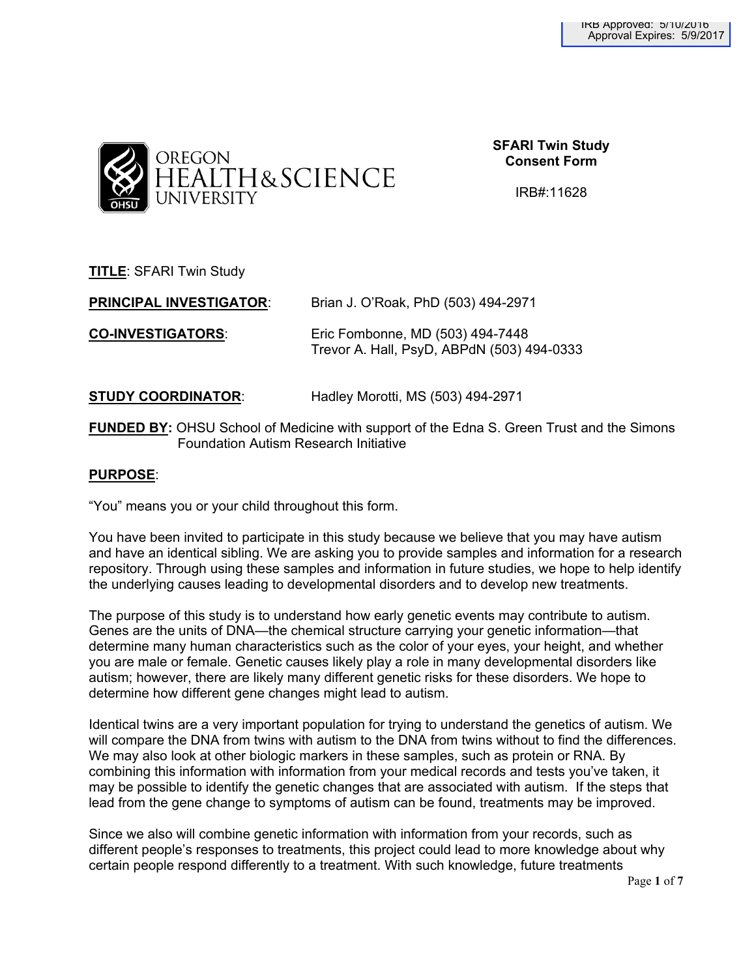

**SFARI Twin Study Consent Form**

IRB#:11628

**TITLE**: SFARI Twin Study

**PRINCIPAL INVESTIGATOR**: Brian J. O'Roak, PhD (503) 494-2971 **CO-INVESTIGATORS**: Eric Fombonne, MD (503) 494-7448 Trevor A. Hall, PsyD, ABPdN (503) 494-0333

**STUDY COORDINATOR**: Hadley Morotti, MS (503) 494-2971

**FUNDED BY:** OHSU School of Medicine with support of the Edna S. Green Trust and the Simons Foundation Autism Research Initiative

# **PURPOSE**:

"You" means you or your child throughout this form.

You have been invited to participate in this study because we believe that you may have autism and have an identical sibling. We are asking you to provide samples and information for a research repository. Through using these samples and information in future studies, we hope to help identify the underlying causes leading to developmental disorders and to develop new treatments.

The purpose of this study is to understand how early genetic events may contribute to autism. Genes are the units of DNA—the chemical structure carrying your genetic information—that determine many human characteristics such as the color of your eyes, your height, and whether you are male or female. Genetic causes likely play a role in many developmental disorders like autism; however, there are likely many different genetic risks for these disorders. We hope to determine how different gene changes might lead to autism.

Identical twins are a very important population for trying to understand the genetics of autism. We will compare the DNA from twins with autism to the DNA from twins without to find the differences. We may also look at other biologic markers in these samples, such as protein or RNA. By combining this information with information from your medical records and tests you've taken, it may be possible to identify the genetic changes that are associated with autism. If the steps that lead from the gene change to symptoms of autism can be found, treatments may be improved.

Since we also will combine genetic information with information from your records, such as different people's responses to treatments, this project could lead to more knowledge about why certain people respond differently to a treatment. With such knowledge, future treatments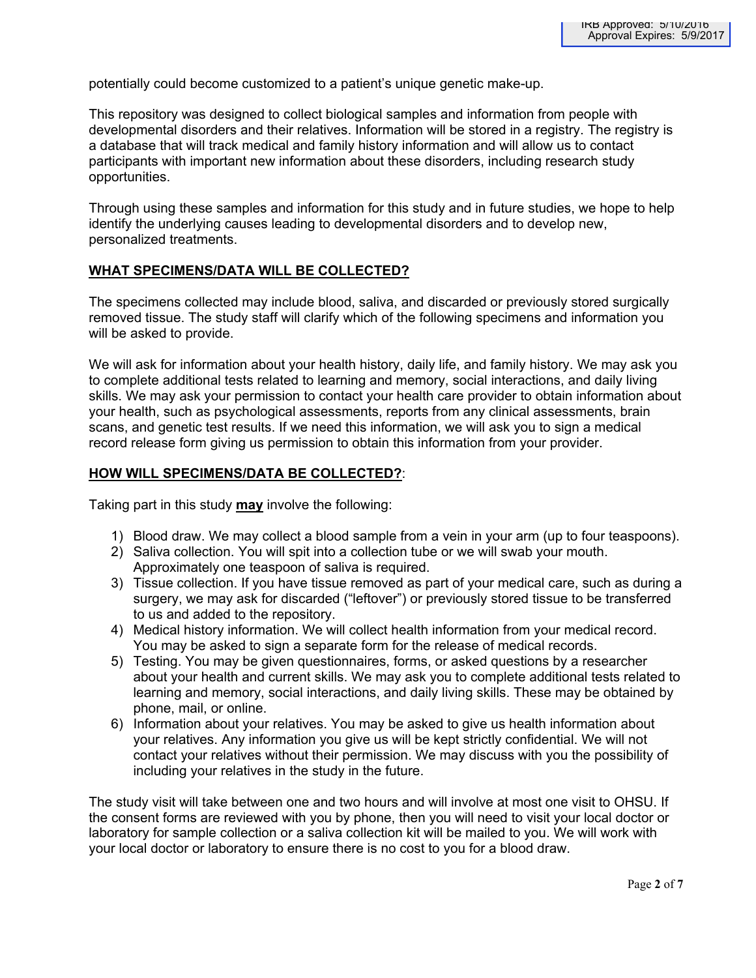potentially could become customized to a patient's unique genetic make-up.

This repository was designed to collect biological samples and information from people with developmental disorders and their relatives. Information will be stored in a registry. The registry is a database that will track medical and family history information and will allow us to contact participants with important new information about these disorders, including research study opportunities.

Through using these samples and information for this study and in future studies, we hope to help identify the underlying causes leading to developmental disorders and to develop new, personalized treatments.

# **WHAT SPECIMENS/DATA WILL BE COLLECTED?**

The specimens collected may include blood, saliva, and discarded or previously stored surgically removed tissue. The study staff will clarify which of the following specimens and information you will be asked to provide.

We will ask for information about your health history, daily life, and family history. We may ask you to complete additional tests related to learning and memory, social interactions, and daily living skills. We may ask your permission to contact your health care provider to obtain information about your health, such as psychological assessments, reports from any clinical assessments, brain scans, and genetic test results. If we need this information, we will ask you to sign a medical record release form giving us permission to obtain this information from your provider.

# **HOW WILL SPECIMENS/DATA BE COLLECTED?**:

Taking part in this study **may** involve the following:

- 1) Blood draw. We may collect a blood sample from a vein in your arm (up to four teaspoons).
- 2) Saliva collection. You will spit into a collection tube or we will swab your mouth. Approximately one teaspoon of saliva is required.
- 3) Tissue collection. If you have tissue removed as part of your medical care, such as during a surgery, we may ask for discarded ("leftover") or previously stored tissue to be transferred to us and added to the repository.
- 4) Medical history information. We will collect health information from your medical record. You may be asked to sign a separate form for the release of medical records.
- 5) Testing. You may be given questionnaires, forms, or asked questions by a researcher about your health and current skills. We may ask you to complete additional tests related to learning and memory, social interactions, and daily living skills. These may be obtained by phone, mail, or online.
- 6) Information about your relatives. You may be asked to give us health information about your relatives. Any information you give us will be kept strictly confidential. We will not contact your relatives without their permission. We may discuss with you the possibility of including your relatives in the study in the future.

The study visit will take between one and two hours and will involve at most one visit to OHSU. If the consent forms are reviewed with you by phone, then you will need to visit your local doctor or laboratory for sample collection or a saliva collection kit will be mailed to you. We will work with your local doctor or laboratory to ensure there is no cost to you for a blood draw.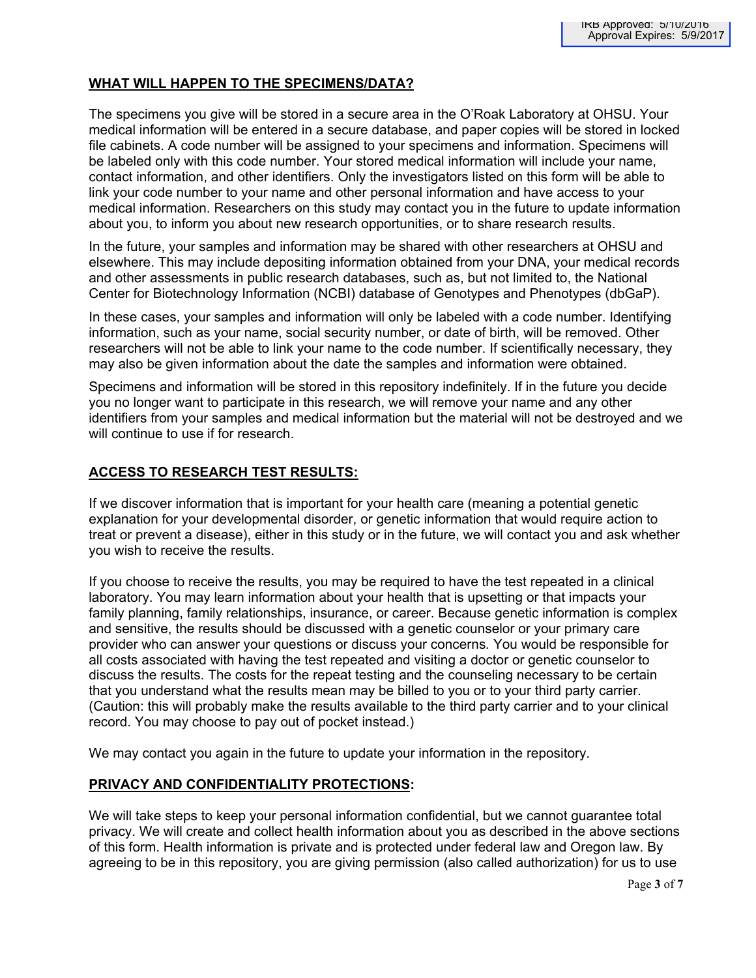# **WHAT WILL HAPPEN TO THE SPECIMENS/DATA?**

The specimens you give will be stored in a secure area in the O'Roak Laboratory at OHSU. Your medical information will be entered in a secure database, and paper copies will be stored in locked file cabinets. A code number will be assigned to your specimens and information. Specimens will be labeled only with this code number. Your stored medical information will include your name, contact information, and other identifiers. Only the investigators listed on this form will be able to link your code number to your name and other personal information and have access to your medical information. Researchers on this study may contact you in the future to update information about you, to inform you about new research opportunities, or to share research results.

In the future, your samples and information may be shared with other researchers at OHSU and elsewhere. This may include depositing information obtained from your DNA, your medical records and other assessments in public research databases, such as, but not limited to, the National Center for Biotechnology Information (NCBI) database of Genotypes and Phenotypes (dbGaP).

In these cases, your samples and information will only be labeled with a code number. Identifying information, such as your name, social security number, or date of birth, will be removed. Other researchers will not be able to link your name to the code number. If scientifically necessary, they may also be given information about the date the samples and information were obtained.

Specimens and information will be stored in this repository indefinitely. If in the future you decide you no longer want to participate in this research, we will remove your name and any other identifiers from your samples and medical information but the material will not be destroyed and we will continue to use if for research.

# **ACCESS TO RESEARCH TEST RESULTS:**

If we discover information that is important for your health care (meaning a potential genetic explanation for your developmental disorder, or genetic information that would require action to treat or prevent a disease), either in this study or in the future, we will contact you and ask whether you wish to receive the results.

If you choose to receive the results, you may be required to have the test repeated in a clinical laboratory. You may learn information about your health that is upsetting or that impacts your family planning, family relationships, insurance, or career. Because genetic information is complex and sensitive, the results should be discussed with a genetic counselor or your primary care provider who can answer your questions or discuss your concerns*.* You would be responsible for all costs associated with having the test repeated and visiting a doctor or genetic counselor to discuss the results. The costs for the repeat testing and the counseling necessary to be certain that you understand what the results mean may be billed to you or to your third party carrier. (Caution: this will probably make the results available to the third party carrier and to your clinical record. You may choose to pay out of pocket instead.)

We may contact you again in the future to update your information in the repository.

# **PRIVACY AND CONFIDENTIALITY PROTECTIONS:**

We will take steps to keep your personal information confidential, but we cannot guarantee total privacy. We will create and collect health information about you as described in the above sections of this form. Health information is private and is protected under federal law and Oregon law. By agreeing to be in this repository, you are giving permission (also called authorization) for us to use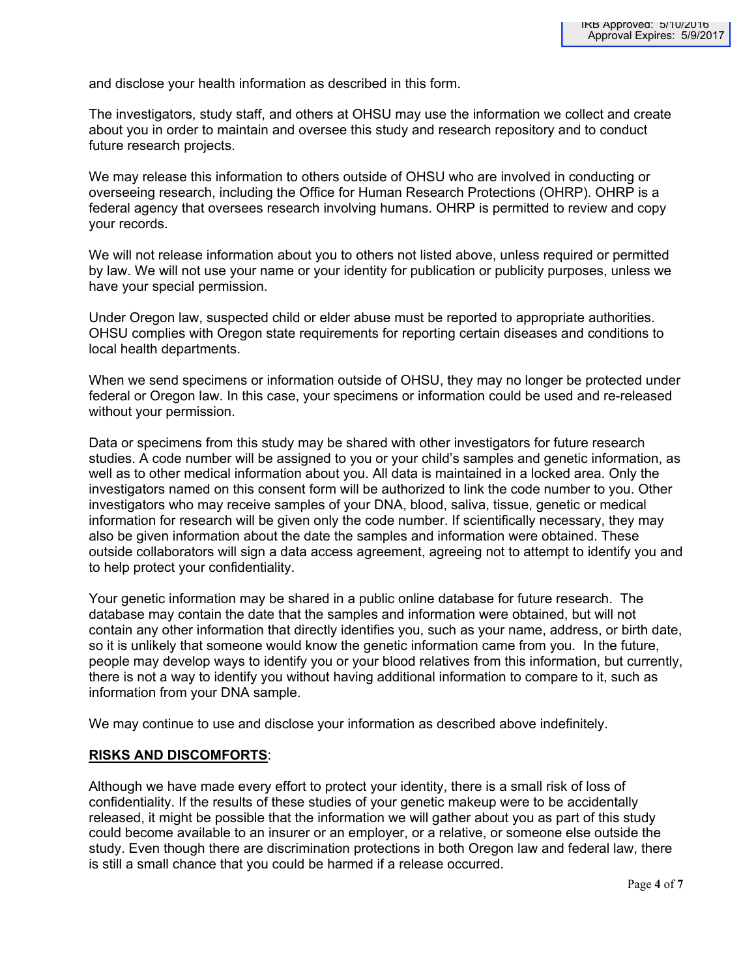and disclose your health information as described in this form.

The investigators, study staff, and others at OHSU may use the information we collect and create about you in order to maintain and oversee this study and research repository and to conduct future research projects.

We may release this information to others outside of OHSU who are involved in conducting or overseeing research, including the Office for Human Research Protections (OHRP). OHRP is a federal agency that oversees research involving humans. OHRP is permitted to review and copy your records.

We will not release information about you to others not listed above, unless required or permitted by law. We will not use your name or your identity for publication or publicity purposes, unless we have your special permission.

Under Oregon law, suspected child or elder abuse must be reported to appropriate authorities. OHSU complies with Oregon state requirements for reporting certain diseases and conditions to local health departments.

When we send specimens or information outside of OHSU, they may no longer be protected under federal or Oregon law. In this case, your specimens or information could be used and re-released without your permission.

Data or specimens from this study may be shared with other investigators for future research studies. A code number will be assigned to you or your child's samples and genetic information, as well as to other medical information about you. All data is maintained in a locked area. Only the investigators named on this consent form will be authorized to link the code number to you. Other investigators who may receive samples of your DNA, blood, saliva, tissue, genetic or medical information for research will be given only the code number. If scientifically necessary, they may also be given information about the date the samples and information were obtained. These outside collaborators will sign a data access agreement, agreeing not to attempt to identify you and to help protect your confidentiality.

Your genetic information may be shared in a public online database for future research. The database may contain the date that the samples and information were obtained, but will not contain any other information that directly identifies you, such as your name, address, or birth date, so it is unlikely that someone would know the genetic information came from you. In the future, people may develop ways to identify you or your blood relatives from this information, but currently, there is not a way to identify you without having additional information to compare to it, such as information from your DNA sample.

We may continue to use and disclose your information as described above indefinitely.

### **RISKS AND DISCOMFORTS**:

Although we have made every effort to protect your identity, there is a small risk of loss of confidentiality. If the results of these studies of your genetic makeup were to be accidentally released, it might be possible that the information we will gather about you as part of this study could become available to an insurer or an employer, or a relative, or someone else outside the study. Even though there are discrimination protections in both Oregon law and federal law, there is still a small chance that you could be harmed if a release occurred.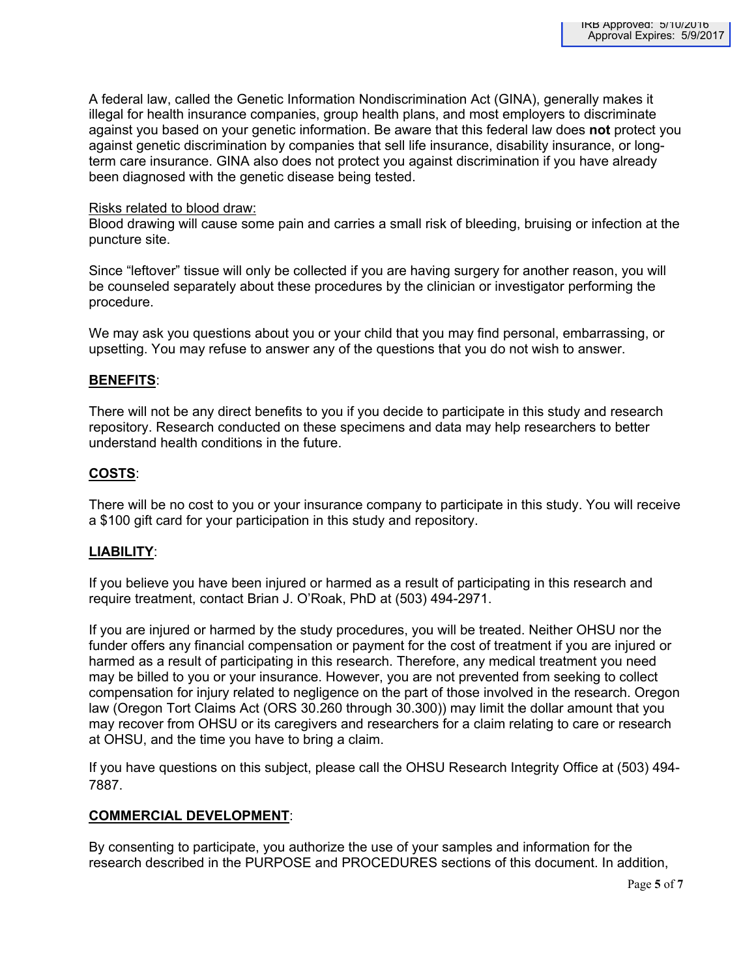A federal law, called the Genetic Information Nondiscrimination Act (GINA), generally makes it illegal for health insurance companies, group health plans, and most employers to discriminate against you based on your genetic information. Be aware that this federal law does **not** protect you against genetic discrimination by companies that sell life insurance, disability insurance, or longterm care insurance. GINA also does not protect you against discrimination if you have already been diagnosed with the genetic disease being tested.

### Risks related to blood draw:

Blood drawing will cause some pain and carries a small risk of bleeding, bruising or infection at the puncture site.

Since "leftover" tissue will only be collected if you are having surgery for another reason, you will be counseled separately about these procedures by the clinician or investigator performing the procedure.

We may ask you questions about you or your child that you may find personal, embarrassing, or upsetting. You may refuse to answer any of the questions that you do not wish to answer.

# **BENEFITS**:

There will not be any direct benefits to you if you decide to participate in this study and research repository. Research conducted on these specimens and data may help researchers to better understand health conditions in the future.

# **COSTS**:

There will be no cost to you or your insurance company to participate in this study. You will receive a \$100 gift card for your participation in this study and repository.

# **LIABILITY**:

If you believe you have been injured or harmed as a result of participating in this research and require treatment, contact Brian J. O'Roak, PhD at (503) 494-2971.

If you are injured or harmed by the study procedures, you will be treated. Neither OHSU nor the funder offers any financial compensation or payment for the cost of treatment if you are injured or harmed as a result of participating in this research. Therefore, any medical treatment you need may be billed to you or your insurance. However, you are not prevented from seeking to collect compensation for injury related to negligence on the part of those involved in the research. Oregon law (Oregon Tort Claims Act (ORS 30.260 through 30.300)) may limit the dollar amount that you may recover from OHSU or its caregivers and researchers for a claim relating to care or research at OHSU, and the time you have to bring a claim.

If you have questions on this subject, please call the OHSU Research Integrity Office at (503) 494- 7887.

### **COMMERCIAL DEVELOPMENT**:

By consenting to participate, you authorize the use of your samples and information for the research described in the PURPOSE and PROCEDURES sections of this document. In addition,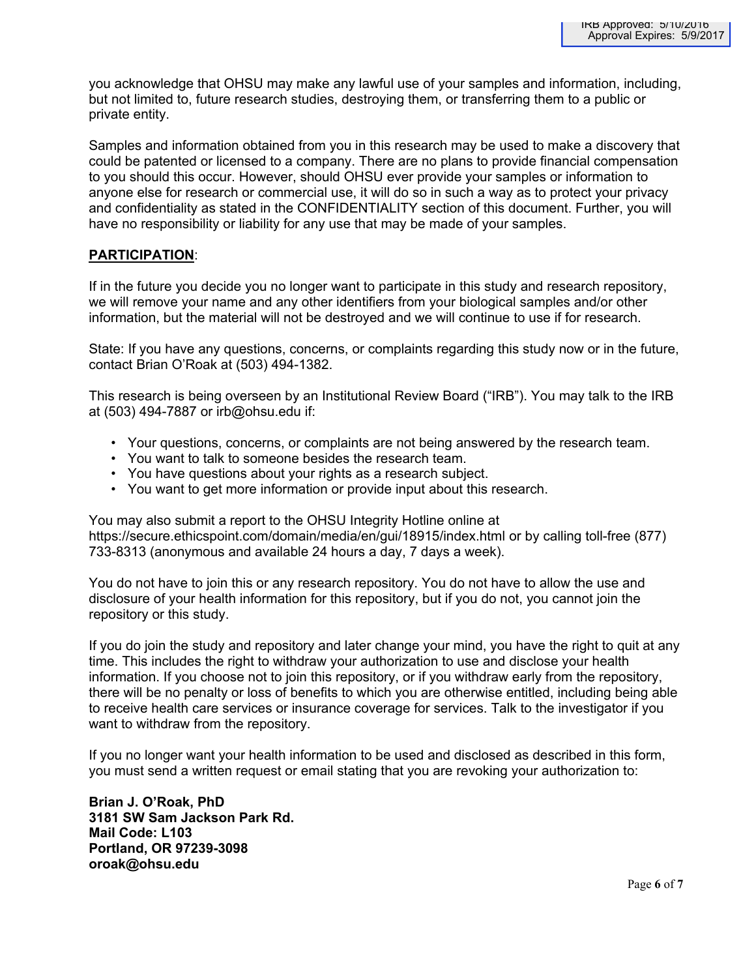you acknowledge that OHSU may make any lawful use of your samples and information, including, but not limited to, future research studies, destroying them, or transferring them to a public or private entity.

Samples and information obtained from you in this research may be used to make a discovery that could be patented or licensed to a company. There are no plans to provide financial compensation to you should this occur. However, should OHSU ever provide your samples or information to anyone else for research or commercial use, it will do so in such a way as to protect your privacy and confidentiality as stated in the CONFIDENTIALITY section of this document. Further, you will have no responsibility or liability for any use that may be made of your samples.

# **PARTICIPATION**:

If in the future you decide you no longer want to participate in this study and research repository, we will remove your name and any other identifiers from your biological samples and/or other information, but the material will not be destroyed and we will continue to use if for research.

State: If you have any questions, concerns, or complaints regarding this study now or in the future, contact Brian O'Roak at (503) 494-1382.

This research is being overseen by an Institutional Review Board ("IRB"). You may talk to the IRB at (503) 494-7887 or irb@ohsu.edu if:

- Your questions, concerns, or complaints are not being answered by the research team.
- You want to talk to someone besides the research team.
- You have questions about your rights as a research subject.
- You want to get more information or provide input about this research.

You may also submit a report to the OHSU Integrity Hotline online at https://secure.ethicspoint.com/domain/media/en/gui/18915/index.html or by calling toll-free (877) 733-8313 (anonymous and available 24 hours a day, 7 days a week).

You do not have to join this or any research repository. You do not have to allow the use and disclosure of your health information for this repository, but if you do not, you cannot join the repository or this study.

If you do join the study and repository and later change your mind, you have the right to quit at any time. This includes the right to withdraw your authorization to use and disclose your health information. If you choose not to join this repository, or if you withdraw early from the repository, there will be no penalty or loss of benefits to which you are otherwise entitled, including being able to receive health care services or insurance coverage for services. Talk to the investigator if you want to withdraw from the repository.

If you no longer want your health information to be used and disclosed as described in this form, you must send a written request or email stating that you are revoking your authorization to:

**Brian J. O'Roak, PhD 3181 SW Sam Jackson Park Rd. Mail Code: L103 Portland, OR 97239-3098 oroak@ohsu.edu**